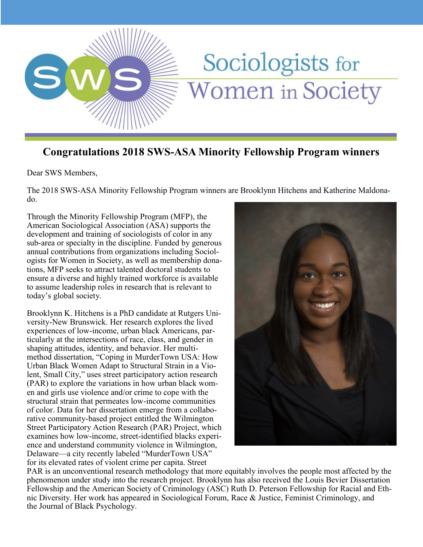

## Sociologists for Women in Society

## **Congratulations 2018 SWS-ASA Minority Fellowship Program winners**

Dear SWS Members,

The 2018 SWS-ASA Minority Fellowship Program winners are Brooklynn Hitchens and Katherine Maldonado.

Through the Minority Fellowship Program (MFP), the American Sociological Association (ASA) supports the development and training of sociologists of color in any sub-area or specialty in the discipline. Funded by generous annual contributions from organizations including Sociologists for Women in Society, as well as membership donations, MFP seeks to attract talented doctoral students to ensure a diverse and highly trained workforce is available to assume leadership roles in research that is relevant to today's global society.

Brooklynn K. Hitchens is a PhD candidate at Rutgers University-New Brunswick. Her research explores the lived experiences of low-income, urban black Americans, particularly at the intersections of race, class, and gender in shaping attitudes, identity, and behavior. Her multimethod dissertation, "Coping in MurderTown USA: How Urban Black Women Adapt to Structural Strain in a Violent, Small City," uses street participatory action research (PAR) to explore the variations in how urban black women and girls use violence and/or crime to cope with the structural strain that permeates low-income communities of color. Data for her dissertation emerge from a collaborative community-based project entitled the Wilmington Street Participatory Action Research (PAR) Project, which examines how low-income, street-identified blacks experience and understand community violence in Wilmington, Delaware—a city recently labeled "MurderTown USA" for its elevated rates of violent crime per capita. Street



PAR is an unconventional research methodology that more equitably involves the people most affected by the phenomenon under study into the research project. Brooklynn has also received the Louis Bevier Dissertation Fellowship and the American Society of Criminology (ASC) Ruth D. Peterson Fellowship for Racial and Ethnic Diversity. Her work has appeared in Sociological Forum, Race & Justice, Feminist Criminology, and the Journal of Black Psychology.